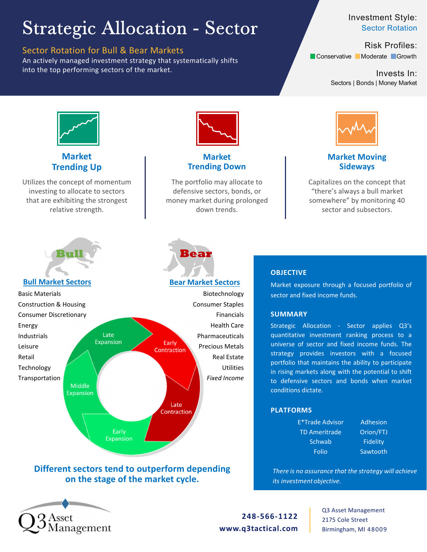# Strategic Allocation - Sector

## Sector Rotation for Bull & Bear Markets

An actively managed investment strategy that systematically shifts into the top performing sectors of the market.

# Investment Style: Sector Rotation

Risk Profiles: Conservative Moderate Growth

> Invests In: Sectors | Bonds | Money Market



# **Market Trending Up**

Utilizes the concept of momentum investing to allocate to sectors that are exhibiting the strongest relative strength.



#### **Market Trending Down**

The portfolio may allocate to defensive sectors, bonds, or money market during prolonged down trends.



### **Market Moving Sideways**

Capitalizes on the concept that "there's always a bull market somewhere" by monitoring 40 sector and subsectors.



# **Different sectors tend to outperform depending on the stage of the market cycle.**

#### **OBJECTIVE**

Market exposure through a focused portfolio of sector and fixed income funds.

#### **SUMMARY**

Strategic Allocation ‐ Sector applies Q3's quantitative investment ranking process to a universe of sector and fixed income funds. The strategy provides investors with a focused portfolio that maintains the ability to participate in rising markets along with the potential to shift to defensive sectors and bonds when market conditions dictate.

#### **PLATFORMS**

| E*Trade Advisor | Adhesion  |
|-----------------|-----------|
| TD Ameritrade   | Orion/FTJ |
| Schwab          | Fidelity  |
| Folio           | Sawtooth  |

*There is no assurance that the strategy will achieve its investment objective.*

sset anagement

**248‐566‐1122 www.q3tactical.com**

Q3 Asset Management 2175 Cole Street Birmingham, MI 48009